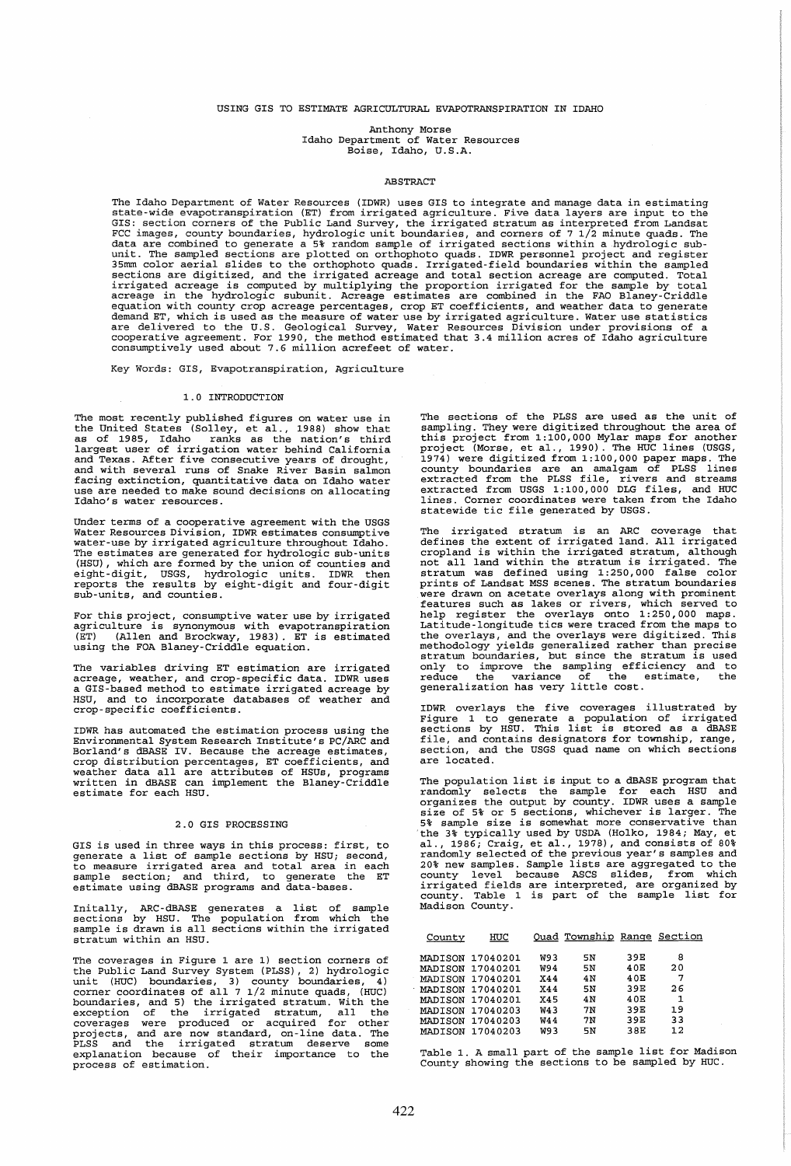## USING GIS TO ESTIMATE AGRICULTURAL EVAPOTRANSPIRATION IN IDAHO

Anthony Morse Idaho Department of Water Resources Boise, Idaho, U.S.A.

## ABSTRACT

The Idaho Department of Water Resources (IDWR) uses GIS to integrate and manage data in estimating<br>state-wide evapotranspiration (ET) from irrigated agriculture. Five data layers are input to the<br>GIS: section corners of th FCC images, county boundaries, hydrologic unit boundaries, and corners of 71/2 minute quads. The<br>data are combined to generate a 5% random sample of irrigated sections within a hydrologic sub-<br>unit. The sampled sections ar are delivered to the U.S. Geological Survey, Water Resources Division under provisions of a<br>cooperative agreement. For 1990, the method estimated that 3.4 million acres of Idaho agriculture<br>consumptively used about 7.6 mil

Key Words: GIS, Evapotranspiration, Agriculture

## 1.0 INTRODUCTION

The most recently published figures on water use in the United States (Solley, et al., 1988) show that as of 1985, Idaho ranks as the nation's third largest user of irrigation water behind California<br>and Texas. After five consecutive years of drought,<br>and with several runs of Snake River Basin salmon<br>facing extinction, quantitative data on Idaho water<br>use are needed to Idaho's water resources.

Under terms of a cooperative agreement with the USGS<br>Water Resources Division, IDWR estimates consumptive water-use by irrigated agriculture throughout Idaho. The estimates are generated for hydrologic sub-units<br>(HSU), which are formed by the union of counties and<br>eight-digit, USGS, hydrologic units. IDWR then<br>reports the results by eight-digit and four-digit<br>sub-units, and coun

For this project, consumptive water use by irrigated agriculture is synonymous with evapotranspiration (ET) (Allen and Brockway, 1983). ET is estimated using the FOA Blaney-Criddle equation.

The variables driving ET estimation are irrigated acreage, weather, and crop-specific data. IDWR uses a GIS-based method to estimate irrigated acreage by HSU, and to incorporate databases of weather and crop-specific coefficients.

IDWR has automated the estimation process using the Environmental System Research Institute's PC/ARC and Borland's dBASE IV. Because the acreage estimates, crop distribution percentages, ET coefficients, and weather data all are attributes of HSUs, programs written in dBASE can implement the Blaney-Criddle estimate for each HSU.

## 2.0 GIS PROCESSING

GIS is used in three ways in this process: first, to generate a list of sample sections by HSU; second, to measure irrigated area and total area in each sample section; and third, to generate the ET estimate using dBASE programs and data-bases.

Initally, ARC-dBASE generates a list of sample sections by HSU. The population from which the sample is drawn is all sections within the irrigated stratum within an HSU.

The coverages in Figure 1 are 1) section corners of the Public Land Survey System (PLSS), 2) hydrologic<br>unit (HUC) boundaries, 3) county boundaries, 4)<br>corner coordinates of all 7 1/2 minute quads, (HUC)<br>boundaries, and 5) the irrigated stratum. With the<br>exception of the ir explanation because of their importance to the explanation because of their importance to the

The sections of the PLSS are used as the unit of sampling. They were digitized throughout the area of this project from 1:100,000 Mylar maps for another project (Morse, et al., 1990). The HUC lines (USGS, 1974) were digitized from 1:100,000 paper maps. The county boundaries are an amalgam of PLSS lines<br>extracted from the PLSS file, rivers and streams<br>extracted from USGS 1:100,000 DLG files, and HUC<br>lines. Corner coordinates were taken from the Idaho<br>statewide tic file genera

The irrigated stratum is an ARC coverage that defines the extent of irrigated land. All irrigated cropland is within the irrigated stratum, although not all land within the stratum is irrigated. The stratum was defined using 1: 250,000 false color prints of Landsat MSS scenes. The stratum boundaries were drawn on acetate overlays along with prominent features such as lakes or rivers, which served to help register the overlays onto 1: 250,000 maps. Latitude-longitude tics were traced from the maps to Encourage of the overlays, and the overlays were digitized. This<br>methodology yields generalized rather than precise<br>stratum boundaries, but since the stratum is used<br>only to improve the sampling efficiency and to<br>reduce th

IDWR overlays the five coverages illustrated by Figure 1 to generate a population of irrigated sections by HSU. This list is stored as a dBASE file, and contains designators for township, range, section, and the USGS quad name on which sections are located.

The population list is input to a dBASE program that randomly selects the sample for each HSU and organizes the output by county. IDWR uses a sample size of 5% or 5 sections, whichever is larger. The Size of Size is somewhat more conservative than<br>the 3% sample size is somewhat more conservative than<br>the 3% typically used by USDA (Holko, 1984; May, et<br>al., 1986; Craig, et al., 1978), and consists of 80%<br>candomly select

| County  | HUC              |            | Quad Township Range Section |     |    |
|---------|------------------|------------|-----------------------------|-----|----|
|         | MADISON 17040201 | W93        | 5Ν                          | 39E | 8  |
|         | MADISON 17040201 | W94        | 5N                          | 40E | 20 |
|         | MADISON 17040201 | <b>X44</b> | 4 N                         | 40E | 7  |
|         | MADISON 17040201 | <b>X44</b> | 5N                          | 39E | 26 |
|         | MADISON 17040201 | X45        | 4 N                         | 40E | 1  |
| MADISON | 17040203         | W43        | 7N                          | 39E | 19 |
| MADISON | 17040203         | W44        | 7N                          | 39E | 33 |
| MADISON | 17040203         | W93        | 5N                          | 38E | 12 |

Table 1. A small part of the sample list for Madison County showing the sections to be sampled by HUC.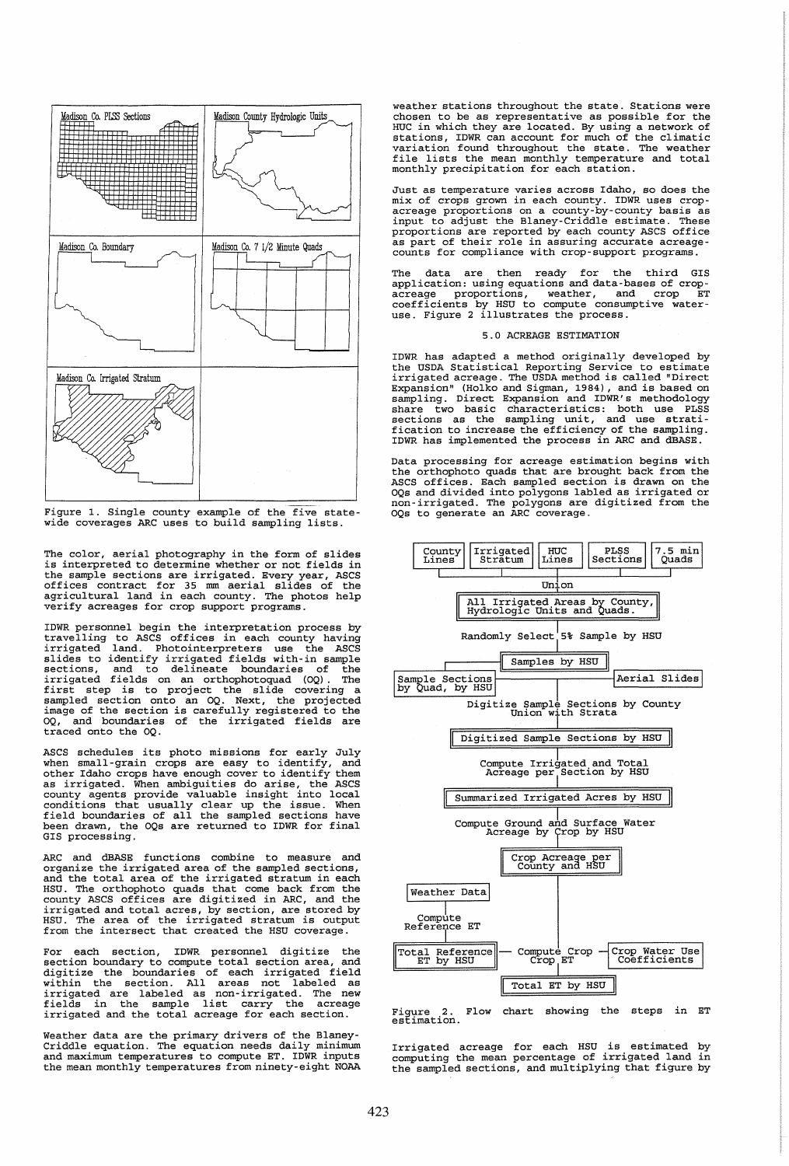

Figure 1. Single county example of the five state-wide coverages ARC uses to build sampling lists.

The color, aerial photography in the form of slides is interpreted to determine whether or not fields in the sample sections are irrigated. Every year, ASCS<br>offices contract for 35 mm aerial slides of the<br>agricultural land in each county. The photos help<br>verify acreages for crop support programs.

IDWR personnel begin the interpretation process by travelling to ASCS offices in each county having irrigated land. Photointerpreters use the ASCS slides to identify irrigated fields with-in sample sections, and to delineate boundaries of the irrigated fields on an orthophotoquad (OQ). The first step is to project the slide covering a sampled section onto an OQ. Next, the projected image of the section is carefully registered to the OQ, and boundaries of the irrigated fields are traced onto the OQ.

ASCS schedules its photo missions for early July when small-grain crops are easy to identify, and other Idaho crops have enough cover to identify them starting and interest and interest as irrigated. When ambiguities do arise, the ASCS county agents provide valuable insight into local conditions that usually clear up the issue. When field boundaries of all the sampled se

ARC and dBASE functions combine to measure and organize the irrigated area of the sampled sections, and the total area of the irrigated stratum in each max are orthophoto quads that come back from the<br>HSU. The orthophoto quads that come back from the<br>irrigated and total acres, by section, are stored by<br>HSU. The area of the irrigated stratum is output<br>from the intersect th

For each section, IDWR personnel digitize the<br>section boundary to compute total section area, and<br>digitize the boundaries of each irrigated field<br>within the section. All areas not labeled as<br>irrigated are labeled as non-ir irrigated and the total acreage for each section.

Weather data are the primary drivers of the Blaney-Criddle equation. The equation needs daily minimum and maximum temperatures to compute ET. IDWR inputs the mean monthly temperatures from ninety-eight NOAA weather stations throughout the state. Stations were chosen to be as representative as possible for the HUC in which they are located. By using a network of stations, IDWR can account for much of the climatic variation found throughout the state. The weather file lists the mean monthly temperature and total monthly precipitation for each station.

Just as temperature varies across Idaho, so does the<br>mix of crops grown in each county. IDWR uses crop-<br>acreage proportions on a county-by-county basis as<br>input to adjust the Blaney-Criddle estimate. These<br>proportions are

The data are then ready for the third GIS<br>application: using equations and data-bases of crop-<br>acreage proportions, weather, and crop ET<br>coefficients by HSU to compute consumptive water-<br>use. Figure 2 illustrates the proce

# 5.0 ACREAGE ESTIMATION

IDWR has adapted a method originally developed by the USDA Statistical Reporting Service to estimate irrigated acreage. The USDA method is called "Direct Expansion" (Holko and Sigman, 1984), and is based on sampling. Direct Expansion and IDWR's methodology share two basic characteristics: both use PLSS sections as the sampling unit, and use strati-fication to increase the efficiency of the sampling. IDWR has implemented the process in ARC and dBASE.

Data processing for acreage estimation begins with the orthophoto quads that are brought back from the ASCS offices. Each sampled section is drawn on the OQs and divided into polygons labled as irrigated or non-irrigated. The polygons are digitized from the OQs to generate an ARC coverage.



Figure 2. Flow estimation. Flow chart showing the steps in ET

Irrigated acreage for each HSU is estimated by computing the mean percentage of irrigated land in the sampled sections, and multiplying that figure by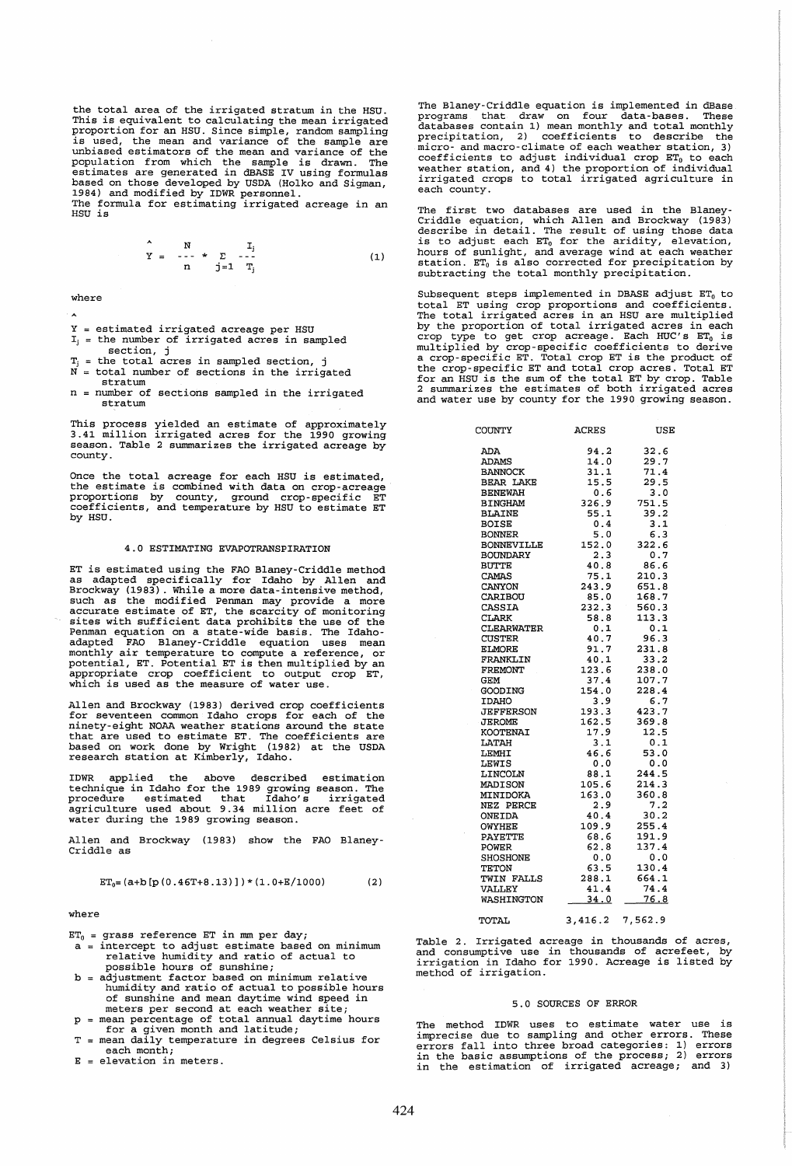the total area of the irrigated stratum in the HSU. This is equivalent to calculating the mean irrigated<br>proportion for an HSU. Since simple, random sampling<br>is used, the mean and variance of the sample are<br>unbiased estimators of the mean and variance of the sample are<br>popu

$$
\begin{array}{c}\n\begin{array}{ccc}\n\circ & N & I_{j} \\
\Upsilon = & - - \circ \ast \Sigma & - - - \\
n & j = 1 \end{array} \\
\text{(1)}\n\end{array}
$$

where

- 
- estimated irrigated acreage per HSU the number of irrigated acres in sampled
- section, j Ψ. = the total acres in sampled section, j
- $N =$  total number of sections in the irrigated stratum
- n number of sections sampled in the irrigated stratum

This process yielded an estimate of approximately 3.41 million irrigated acres for the 1990 growing season. Table 2 summarizes the irrigated acreage by county.

Once the total acreage for each HSU is estimated,<br>the estimate is combined with data on crop-acreage<br>proportions by county, ground crop-specific ET<br>coefficients, and temperature by HSU to estimate ET by HSU.

### 4.0 ESTIMATING EVAPOTRANSPIRATION

ET is estimated using the FAO Blaney-Criddle method as adapted specifically for Idaho by Allen and Brockway (1983) . While a more data-intensive method such as the modified Penman may provide a more<br>accurate estimate of ET, the scarcity of monitoring<br>sites with sufficient data prohibits the use of the Penman equation on a state-wide basis. The Idaho-adapted FAO Blaney-Criddle equation uses mean monthly air temperature to compute a reference, or motential, ET. Potential ET is then multiplied by an appropriate crop coefficient to output crop ET, which is used as the measure of water use.

Allen and Brockway (1983) derived crop coefficients<br>for seventeen common Idaho crops for each of the<br>ninety-eight NOAA weather stations around the state<br>that are used to estimate ET. The coefficients are<br>based on work done

IDWR applied the above described estimation<br>technique in Idaho for the 1989 growing season. The<br>procedure estimated that Idaho's irrigated<br>agriculture used about 9.34 million acre feet of<br>water during the 1989 growing seas

Allen and Brockway (1983) show the FAO Blaney-Criddle as

$$
ET_0 = (a+b [p (0.46T+8.13)])*(1.0+E/1000)
$$
 (2)

#### where

 $ET_0$  = grass reference ET in mm per day;

- a = intercept to adjust estimate based on minimum relative humidity and ratio of actual to possible hours of sunshine; b adjustment factor based on minimum relative
- humidity and ratio of actual to possible hours of sunshine and mean daytime wind speed in meters per second at each weather site;
- mean percentage of total annual daytime hours<br>for a given month and latitude;<br>T = mean daily temperature in degrees Celsius for
- each month;
- E elevation in meters.

The Blaney-Criddle equation is implemented in dBase programs that draw on four data-bases. These databases contain 1) mean monthly and total monthly precipitation, 2) coefficients to describe the micro- and macro-climate of each weather station, 3) coefficients to adjust individual crop ET<sub>0</sub> to each weather station, and 4) the proportion of individual irrigated crops to total irrigated agriculture in each county.

The first two databases are used in the Blaney-<br>Criddle equation, which Allen and Brockway (1983)<br>describe in detail. The result of using those data<br>is to adjust each ET<sub>0</sub> for the aridity, elevation,<br>hours of sunlight, an subtracting the total monthly precipitation.

Subsequent steps implemented in DBASE adjust  $ET_0$  to stated FT using crop proportions and coefficients.<br>The total FT using crop proportions and coefficients.<br>The total irrigated acres in an HSU are multiplied<br>by the proportion of total irrigated acres in each<br>crop type to ge the crop-specific ET and total crop acres. Total ET for an HSU is the sum of the total ET by crop. Table 2 summarizes the estimates of both irrigated acres and water use by county for the 1990 growing season.

| COUNTY            | ACRES             | USE           |
|-------------------|-------------------|---------------|
| ADA               | 94.2              | 32.6          |
| <b>ADAMS</b>      | 14.0              | 29.7          |
| <b>BANNOCK</b>    | 31.1              | 71.4          |
| <b>BEAR LAKE</b>  | 15.5              | 29.5          |
| <b>BENEWAH</b>    | 0.6               | 3.0           |
| <b>BINGHAM</b>    | 326.9             | 751.5         |
| <b>BLAINE</b>     | 55.1              | 39.2          |
| <b>BOISE</b>      | 0.4               | 3.1           |
| <b>BONNER</b>     | 5.0               | 6.3           |
| <b>BONNEVILLE</b> | 152.0             | 322.6         |
| BOUNDARY          | 2.3               | 0.7           |
| <b>BUTTE</b>      | 40.8              | 86.6          |
| CAMAS             | 75.1              | 210.3         |
| CANYON            | 243.9             | 651.8         |
| CARIBOU           | 85.0              | 168.7         |
| CASSIA            | 232.3             | 560.3         |
| CLARK             | 58.8              | 113.3         |
| <b>CLEARWATER</b> | 0.1               | 0.1           |
| <b>CUSTER</b>     | 40.7              | 96.3          |
| ELMORE            | 91.7              | 231.8         |
| FRANKLIN          | 40.1              | 33.2          |
| FREMONT           | 123.6             | 238.0         |
| GEM               | 37.4              | 107.7         |
| GOODING           | 154.0             | 228.4         |
| <b>IDAHO</b>      | 3.9               | 6.7           |
| <b>JEFFERSON</b>  | 193.3             | 423.7         |
| <b>JEROME</b>     | 162.5             | 369.8         |
| KOOTENAI          | 17.9<br>3.1       | 12.5          |
| LATAH             |                   | 0.1           |
| LEMHI             | 46.6              | 53.0<br>0.0   |
| LEWIS             | 0.0               |               |
| LINCOLN           | 88.1              | 244.5         |
| MADISON           | 105.6             | 214.3         |
| MINIDOKA          | 163.0             | 360.8         |
| NEZ PERCE         | 2.9               | $7.2$<br>30.2 |
| ONEIDA            | 40.4              |               |
| <b>OWYHEE</b>     | 109.9             | 255.4         |
| <b>PAYETTE</b>    | 68.6              | 191.9         |
| <b>POWER</b>      | 62.8              | 137.4         |
| SHOSHONE          | 0.0               | 0.0           |
| TETON             | 63.5              | 130.4         |
| TWIN FALLS        | $288.1$<br>$41.4$ | 664.1         |
| <b>VALLEY</b>     |                   | 74.4          |
| WASHINGTON        | 34.0              | 76.8          |
| TOTAL             | 3,416.2           | 7,562.9       |

Table 2. Irrigated acreage in thousands of acres, and consumptive use in thousands of acrefeet, by irrigation in Idaho for 1990. Acreage is listed by method of irrigation.

#### 5.0 SOURCES OF ERROR

The method IDWR uses to estimate water use is imprecise due to sampling and other errors. These errors fall into three broad categories: 1) errors in the basic assumptions of the process; 2) errors in the estimation of irrigated acreage; and 3)